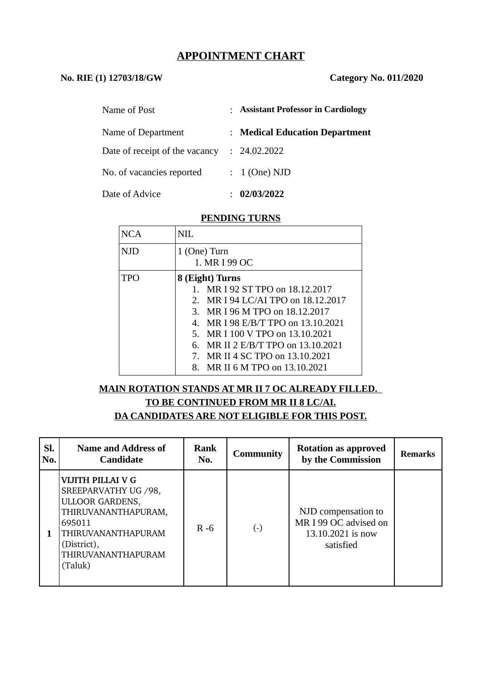## **APPOINTMENT CHART**

## **No. RIE (1) 12703/18/GW Category No. 011/2020**

| Name of Post                   | : Assistant Professor in Cardiology |
|--------------------------------|-------------------------------------|
| Name of Department             | : Medical Education Department      |
| Date of receipt of the vacancy | : 24.02.2022                        |
| No. of vacancies reported      | $: 1$ (One) NJD                     |
| Date of Advice                 | 02/03/2022                          |

#### **PENDING TURNS**

| NCA  | NH.                                            |  |  |  |  |
|------|------------------------------------------------|--|--|--|--|
| NJD. | $1$ (One) Turn<br>1. MR I 99 OC                |  |  |  |  |
| TPO  | 8 (Eight) Turns                                |  |  |  |  |
|      | MR I 92 ST TPO on 18.12.2017<br>$1_{-}$        |  |  |  |  |
|      | MR I 94 LC/AI TPO on 18.12.2017<br>$2^{\circ}$ |  |  |  |  |
|      | 3. MR I 96 M TPO on 18.12.2017                 |  |  |  |  |
|      | 4. MR I 98 E/B/T TPO on 13.10.2021             |  |  |  |  |
|      | 5. MR I 100 V TPO on 13.10.2021                |  |  |  |  |
|      | MR II 2 E/B/T TPO on 13.10.2021<br>6.          |  |  |  |  |
|      | 7. MR II 4 SC TPO on 13.10.2021                |  |  |  |  |
|      | MR II 6 M TPO on 13.10.2021<br>8.              |  |  |  |  |

# **MAIN ROTATION STANDS AT MR II 7 OC ALREADY FILLED. TO BE CONTINUED FROM MR II 8 LC/AI. DA CANDIDATES ARE NOT ELIGIBLE FOR THIS POST.**

| Sl.<br>No. | <b>Name and Address of</b><br><b>Candidate</b>                                                                                                                              | <b>Rank</b><br>No. | <b>Community</b> | <b>Rotation as approved</b><br>by the Commission                               | <b>Remarks</b> |
|------------|-----------------------------------------------------------------------------------------------------------------------------------------------------------------------------|--------------------|------------------|--------------------------------------------------------------------------------|----------------|
|            | VIJITH PILLAI V G<br>SREEPARVATHY UG / 98,<br><b>ULLOOR GARDENS,</b><br>THIRUVANANTHAPURAM,<br>695011<br>THIRUVANANTHAPURAM<br>(District),<br>THIRUVANANTHAPURAM<br>(Taluk) | $R - 6$            | $(\cdot)$        | NJD compensation to<br>MR I 99 OC advised on<br>13.10.2021 is now<br>satisfied |                |